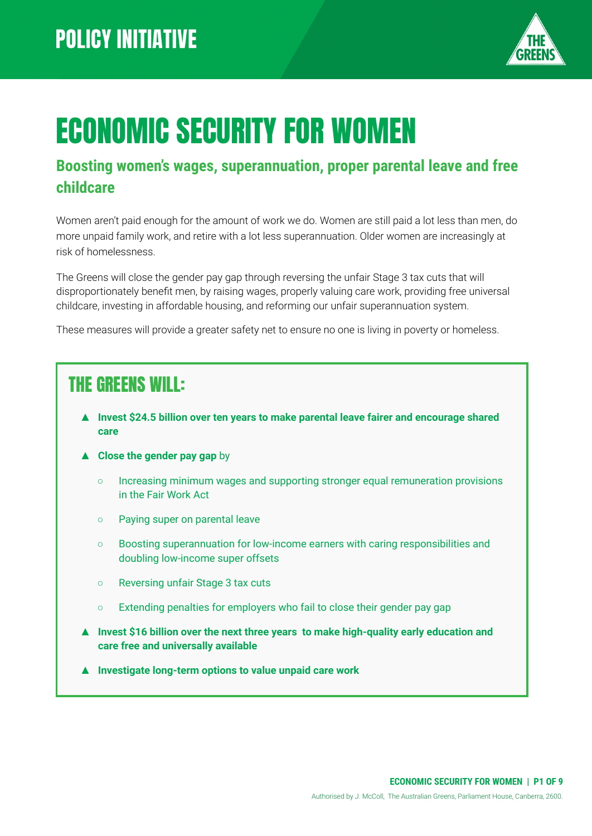

# ECONOMIC SECURITY FOR WOMEN

#### **Boosting women's wages, superannuation, proper parental leave and free childcare**

Women aren't paid enough for the amount of work we do. Women are still paid a lot less than men, do more unpaid family work, and retire with a lot less superannuation. Older women are increasingly at risk of homelessness.

The Greens will close the gender pay gap through reversing the unfair Stage 3 tax cuts that will disproportionately benefit men, by raising wages, properly valuing care work, providing free universal childcare, investing in affordable housing, and reforming our unfair superannuation system.

These measures will provide a greater safety net to ensure no one is living in poverty or homeless.

## THE GREENS WILL:

- ▲ **Invest \$24.5 billion over ten years to make parental leave fairer and encourage shared care**
- ▲ **Close the gender pay gap** by
	- Increasing minimum wages and supporting stronger equal remuneration provisions in the Fair Work Act
	- Paying super on parental leave
	- Boosting superannuation for low-income earners with caring responsibilities and doubling low-income super offsets
	- Reversing unfair Stage 3 tax cuts
	- Extending penalties for employers who fail to close their gender pay gap
- ▲ **Invest \$16 billion over the next three years to make high-quality early education and care free and universally available**
- **Investigate long-term options to value unpaid care work**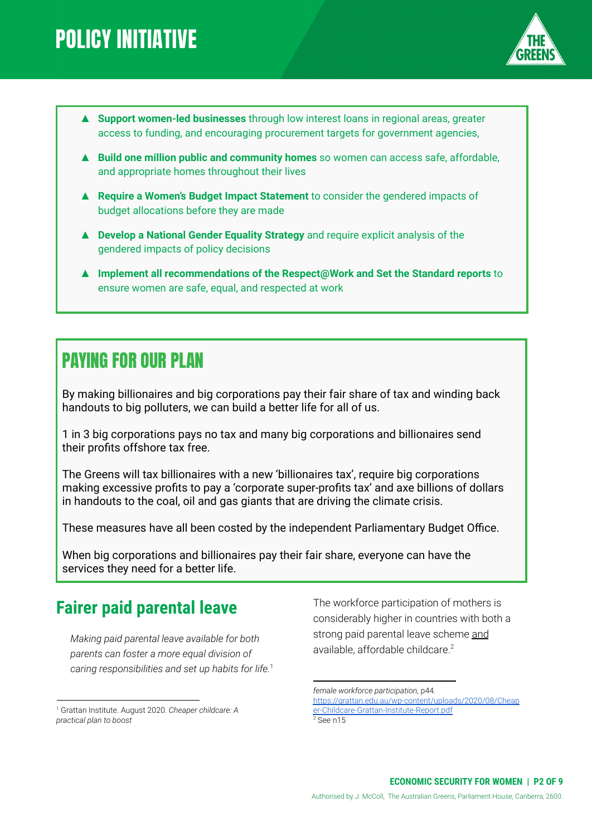

- **▲ Support women-led businesses** through low interest loans in regional areas, greater access to funding, and encouraging procurement targets for government agencies,
- **▲ Build one million public and community homes** so women can access safe, affordable, and appropriate homes throughout their lives
- **▲ Require a Women's Budget Impact Statement** to consider the gendered impacts of budget allocations before they are made
- ▲ **Develop a National Gender Equality Strategy** and require explicit analysis of the gendered impacts of policy decisions
- ▲ **Implement all recommendations of the Respect@Work and Set the Standard reports** to ensure women are safe, equal, and respected at work

### PAYING FOR OUR PLAN

By making billionaires and big corporations pay their fair share of tax and winding back handouts to big polluters, we can build a better life for all of us.

1 in 3 big corporations pays no tax and many big corporations and billionaires send their profits offshore tax free.

The Greens will tax billionaires with a new 'billionaires tax', require big corporations making excessive profits to pay a 'corporate super-profits tax' and axe billions of dollars in handouts to the coal, oil and gas giants that are driving the climate crisis.

These measures have all been costed by the independent Parliamentary Budget Office.

When big corporations and billionaires pay their fair share, everyone can have the services they need for a better life.

#### **Fairer paid parental leave**

*Making paid parental leave available for both parents can foster a more equal division of caring responsibilities and set up habits for life.* 1 The workforce participation of mothers is considerably higher in countries with both a strong paid parental leave scheme and available, affordable childcare.<sup>2</sup>

<sup>1</sup> Grattan Institute. August 2020. *Cheaper childcare: A practical plan to boost*

 $2$  See n15 *female workforce participation*, p44. [https://grattan.edu.au/wp-content/uploads/2020/08/Cheap](https://grattan.edu.au/wp-content/uploads/2020/08/Cheaper-Childcare-Grattan-Institute-Report.pdf) [er-Childcare-Grattan-Institute-Report.pdf](https://grattan.edu.au/wp-content/uploads/2020/08/Cheaper-Childcare-Grattan-Institute-Report.pdf)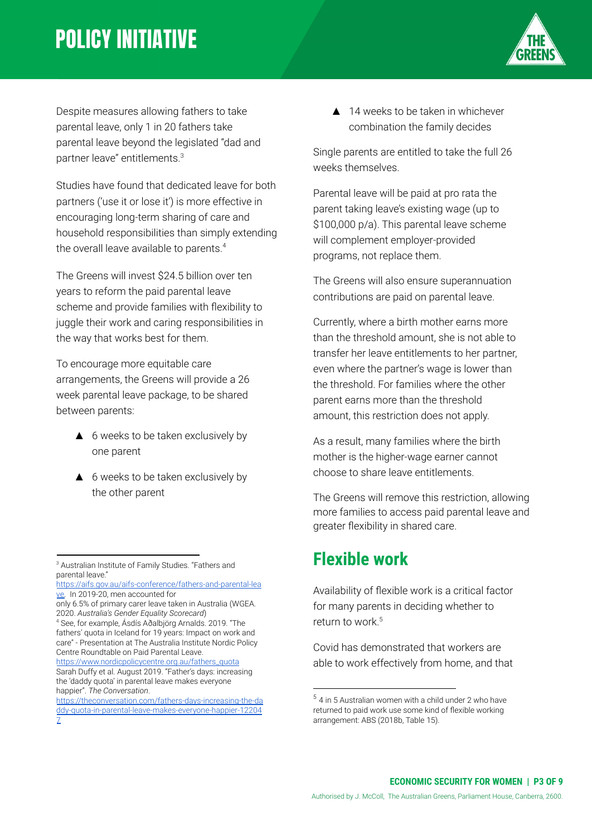Despite measures allowing fathers to take parental leave, only 1 in 20 fathers take parental leave beyond the legislated "dad and partner leave" entitlements.<sup>3</sup>

Studies have found that dedicated leave for both partners ('use it or lose it') is more effective in encouraging long-term sharing of care and household responsibilities than simply extending the overall leave available to parents.<sup>4</sup>

The Greens will invest \$24.5 billion over ten years to reform the paid parental leave scheme and provide families with flexibility to juggle their work and caring responsibilities in the way that works best for them.

To encourage more equitable care arrangements, the Greens will provide a 26 week parental leave package, to be shared between parents:

- ▲ 6 weeks to be taken exclusively by one parent
- ▲ 6 weeks to be taken exclusively by the other parent

[https://www.nordicpolicycentre.org.au/fathers\\_quota](https://www.nordicpolicycentre.org.au/fathers_quota) Sarah Duffy et al. August 2019. "Father's days: increasing the 'daddy quota' in parental leave makes everyone happier". *The Conversation*.

▲ 14 weeks to be taken in whichever combination the family decides

Single parents are entitled to take the full 26 weeks themselves.

Parental leave will be paid at pro rata the parent taking leave's existing wage (up to \$100,000 p/a). This parental leave scheme will complement employer-provided programs, not replace them.

The Greens will also ensure superannuation contributions are paid on parental leave.

Currently, where a birth mother earns more than the threshold amount, she is not able to transfer her leave entitlements to her partner, even where the partner's wage is lower than the threshold. For families where the other parent earns more than the threshold amount, this restriction does not apply.

As a result, many families where the birth mother is the higher-wage earner cannot choose to share leave entitlements.

The Greens will remove this restriction, allowing more families to access paid parental leave and greater flexibility in shared care.

#### **Flexible work**

Availability of flexible work is a critical factor for many parents in deciding whether to return to work.<sup>5</sup>

Covid has demonstrated that workers are able to work effectively from home, and that



<sup>3</sup> Australian Institute of Family Studies. "Fathers and parental leave."

[https://aifs.gov.au/aifs-conference/fathers-and-parental-lea](https://aifs.gov.au/aifs-conference/fathers-and-parental-leave) [ve.](https://aifs.gov.au/aifs-conference/fathers-and-parental-leave) In 2019-20, men accounted for

only 6.5% of primary carer leave taken in Australia (WGEA. 2020. *Australia's Gender Equality Scorecard*)

<sup>4</sup> See, for example, Ásdís Aðalbjörg Arnalds. 2019. "The fathers' quota in Iceland for 19 years: Impact on work and care" - Presentation at The Australia Institute Nordic Policy Centre Roundtable on Paid Parental Leave.

[https://theconversation.com/fathers-days-increasing-the-da](https://theconversation.com/fathers-days-increasing-the-daddy-quota-in-parental-leave-makes-everyone-happier-122047) [ddy-quota-in-parental-leave-makes-everyone-happier-12204](https://theconversation.com/fathers-days-increasing-the-daddy-quota-in-parental-leave-makes-everyone-happier-122047) [7](https://theconversation.com/fathers-days-increasing-the-daddy-quota-in-parental-leave-makes-everyone-happier-122047)

 $5$  4 in 5 Australian women with a child under 2 who have returned to paid work use some kind of flexible working arrangement: ABS (2018b, Table 15).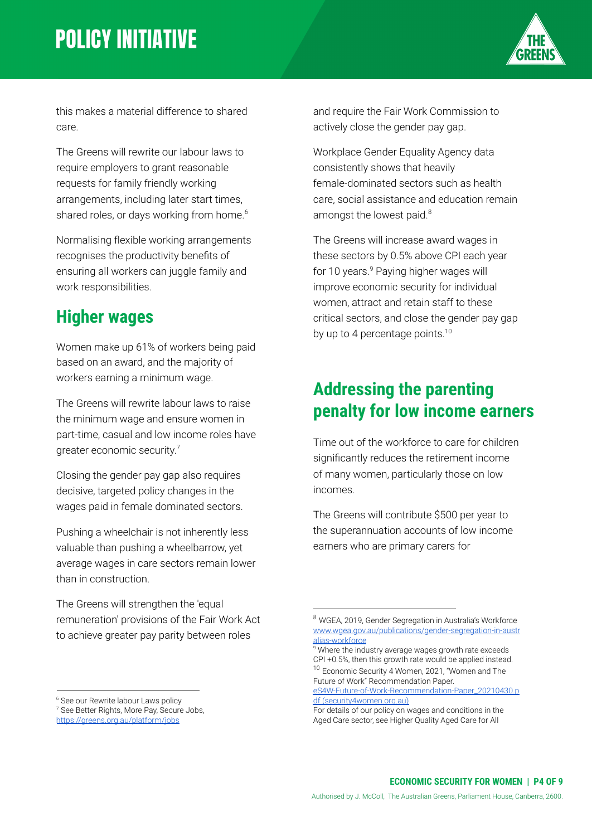

this makes a material difference to shared care.

The Greens will rewrite our labour laws to require employers to grant reasonable requests for family friendly working arrangements, including later start times, shared roles, or days working from home.<sup>6</sup>

Normalising flexible working arrangements recognises the productivity benefits of ensuring all workers can juggle family and work responsibilities.

#### **Higher wages**

Women make up 61% of workers being paid based on an award, and the majority of workers earning a minimum wage.

The Greens will rewrite labour laws to raise the minimum wage and ensure women in part-time, casual and low income roles have greater economic security.<sup>7</sup>

Closing the gender pay gap also requires decisive, targeted policy changes in the wages paid in female dominated sectors.

Pushing a wheelchair is not inherently less valuable than pushing a wheelbarrow, yet average wages in care sectors remain lower than in construction.

The Greens will strengthen the 'equal remuneration' provisions of the Fair Work Act to achieve greater pay parity between roles

and require the Fair Work Commission to actively close the gender pay gap.

Workplace Gender Equality Agency data consistently shows that heavily female-dominated sectors such as health care, social assistance and education remain amongst the lowest paid.<sup>8</sup>

The Greens will increase award wages in these sectors by 0.5% above CPI each year for 10 years. $9$  Paying higher wages will improve economic security for individual women, attract and retain staff to these critical sectors, and close the gender pay gap by up to 4 percentage points.<sup>10</sup>

#### **Addressing the parenting penalty for low income earners**

Time out of the workforce to care for children significantly reduces the retirement income of many women, particularly those on low incomes.

The Greens will contribute \$500 per year to the superannuation accounts of low income earners who are primary carers for

[eS4W-Future-of-Work-Recommendation-Paper\\_20210430.p](https://www.security4women.org.au/wp-content/uploads/2021/05/eS4W-Future-of-Work-Recommendation-Paper_20210430.pdf) df [\(security4women.org.au\)](https://www.security4women.org.au/wp-content/uploads/2021/05/eS4W-Future-of-Work-Recommendation-Paper_20210430.pdf)

<sup>&</sup>lt;sup>6</sup> See our Rewrite labour Laws policy

<sup>7</sup> See Better Rights, More Pay, Secure Jobs, <https://greens.org.au/platform/jobs>

<sup>8</sup> WGEA, 2019, Gender Segregation in Australia's Workforce [www.wgea.gov.au/publications/gender-segregation-in-austr](http://www.wgea.gov.au/publications/gender-segregation-in-australias-workforce) [alias-workforce](http://www.wgea.gov.au/publications/gender-segregation-in-australias-workforce)

<sup>10</sup> Economic Security 4 Women, 2021, "Women and The Future of Work" Recommendation Paper. <sup>9</sup> Where the industry average wages growth rate exceeds CPI +0.5%, then this growth rate would be applied instead.

For details of our policy on wages and conditions in the Aged Care sector, see Higher Quality Aged Care for All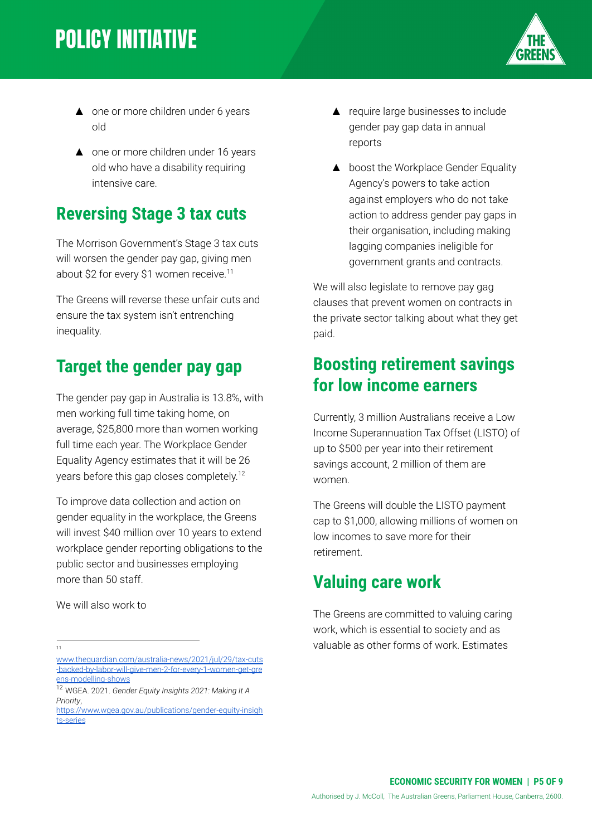

- ▲ one or more children under 6 years old
- ▲ one or more children under 16 years old who have a disability requiring intensive care.

#### **Reversing Stage 3 tax cuts**

The Morrison Government's Stage 3 tax cuts will worsen the gender pay gap, giving men about \$2 for every \$1 women receive.<sup>11</sup>

The Greens will reverse these unfair cuts and ensure the tax system isn't entrenching inequality.

#### **Target the gender pay gap**

The gender pay gap in Australia is 13.8%, with men working full time taking home, on average, \$25,800 more than women working full time each year. The Workplace Gender Equality Agency estimates that it will be 26 years before this gap closes completely. 12

To improve data collection and action on gender equality in the workplace, the Greens will invest \$40 million over 10 years to extend workplace gender reporting obligations to the public sector and businesses employing more than 50 staff.

We will also work to

11

- ▲ require large businesses to include gender pay gap data in annual reports
- ▲ boost the Workplace Gender Equality Agency's powers to take action against employers who do not take action to address gender pay gaps in their organisation, including making lagging companies ineligible for government grants and contracts.

We will also legislate to remove pay gag clauses that prevent women on contracts in the private sector talking about what they get paid.

#### **Boosting retirement savings for low income earners**

Currently, 3 million Australians receive a Low Income Superannuation Tax Offset (LISTO) of up to \$500 per year into their retirement savings account, 2 million of them are women.

The Greens will double the LISTO payment cap to \$1,000, allowing millions of women on low incomes to save more for their retirement.

#### **Valuing care work**

The Greens are committed to valuing caring work, which is essential to society and as valuable as other forms of work. Estimates

[www.theguardian.com/australia-news/2021/jul/29/tax-cuts](http://www.theguardian.com/australia-news/2021/jul/29/tax-cuts-backed-by-labor-will-give-men-2-for-every-1-women-get-greens-modelling-shows) [-backed-by-labor-will-give-men-2-for-every-1-women-get-gre](http://www.theguardian.com/australia-news/2021/jul/29/tax-cuts-backed-by-labor-will-give-men-2-for-every-1-women-get-greens-modelling-shows) [ens-modelling-shows](http://www.theguardian.com/australia-news/2021/jul/29/tax-cuts-backed-by-labor-will-give-men-2-for-every-1-women-get-greens-modelling-shows)

<sup>12</sup> WGEA. 2021. *Gender Equity Insights 2021: Making It A Priority*,

[https://www.wgea.gov.au/publications/gender-equity-insigh](https://www.wgea.gov.au/publications/gender-equity-insights-series) [ts-series](https://www.wgea.gov.au/publications/gender-equity-insights-series)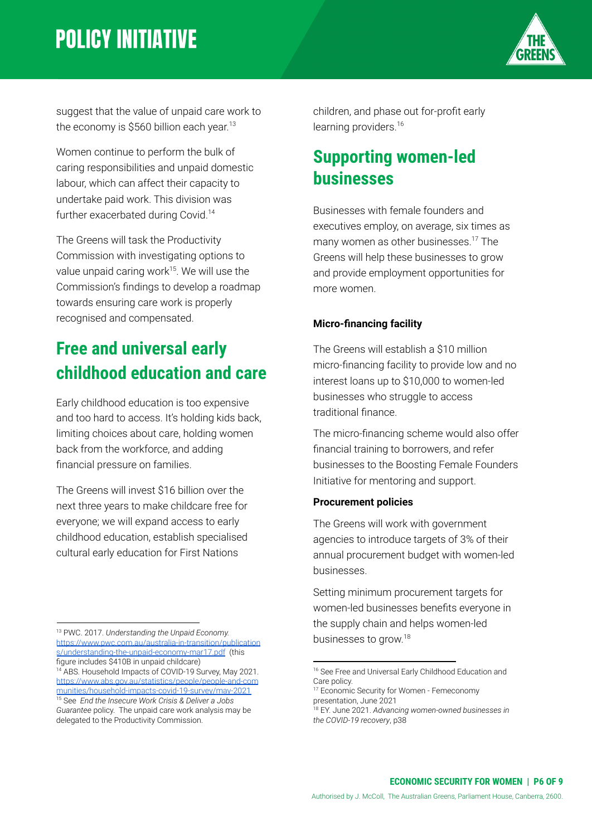

suggest that the value of unpaid care work to the economy is \$560 billion each year.<sup>13</sup>

Women continue to perform the bulk of caring responsibilities and unpaid domestic labour, which can affect their capacity to undertake paid work. This division was further exacerbated during Covid.<sup>14</sup>

The Greens will task the Productivity Commission with investigating options to value unpaid caring work $15$ . We will use the Commission's findings to develop a roadmap towards ensuring care work is properly recognised and compensated.

### **Free and universal early childhood education and care**

Early childhood education is too expensive and too hard to access. It's holding kids back, limiting choices about care, holding women back from the workforce, and adding financial pressure on families.

The Greens will invest \$16 billion over the next three years to make childcare free for everyone; we will expand access to early childhood education, establish specialised cultural early education for First Nations

<sup>13</sup> PWC. 2017. *Understanding the Unpaid Economy.* [https://www.pwc.com.au/australia-in-transition/publication](https://www.pwc.com.au/australia-in-transition/publications/understanding-the-unpaid-economy-mar17.pdf) [s/understanding-the-unpaid-economy-mar17.pdf](https://www.pwc.com.au/australia-in-transition/publications/understanding-the-unpaid-economy-mar17.pdf) (this figure includes \$410B in unpaid childcare)

children, and phase out for-profit early learning providers.<sup>16</sup>

### **Supporting women-led businesses**

Businesses with female founders and executives employ, on average, six times as many women as other businesses.<sup>17</sup> The Greens will help these businesses to grow and provide employment opportunities for more women.

#### **Micro-financing facility**

The Greens will establish a \$10 million micro-financing facility to provide low and no interest loans up to \$10,000 to women-led businesses who struggle to access traditional finance.

The micro-financing scheme would also offer financial training to borrowers, and refer businesses to the Boosting Female Founders Initiative for mentoring and support.

#### **Procurement policies**

The Greens will work with government agencies to introduce targets of 3% of their annual procurement budget with women-led businesses.

Setting minimum procurement targets for women-led businesses benefits everyone in the supply chain and helps women-led businesses to grow. 18

<sup>15</sup> See *End the Insecure Work Crisis & Deliver a Jobs Guarantee* policy. The unpaid care work analysis may be delegated to the Productivity Commission. <sup>14</sup> ABS. Household Impacts of COVID-19 Survey, May 2021. [https://www.abs.gov.au/statistics/people/people-and-com](https://www.abs.gov.au/statistics/people/people-and-communities/household-impacts-covid-19-survey/may-2021) [munities/household-impacts-covid-19-survey/may-2021](https://www.abs.gov.au/statistics/people/people-and-communities/household-impacts-covid-19-survey/may-2021)

<sup>&</sup>lt;sup>16</sup> See Free and Universal Early Childhood Education and Care policy.

<sup>&</sup>lt;sup>17</sup> Economic Security for Women - Femeconomy presentation, June 2021

<sup>18</sup> EY. June 2021. *Advancing women-owned businesses in the COVID-19 recovery*, p38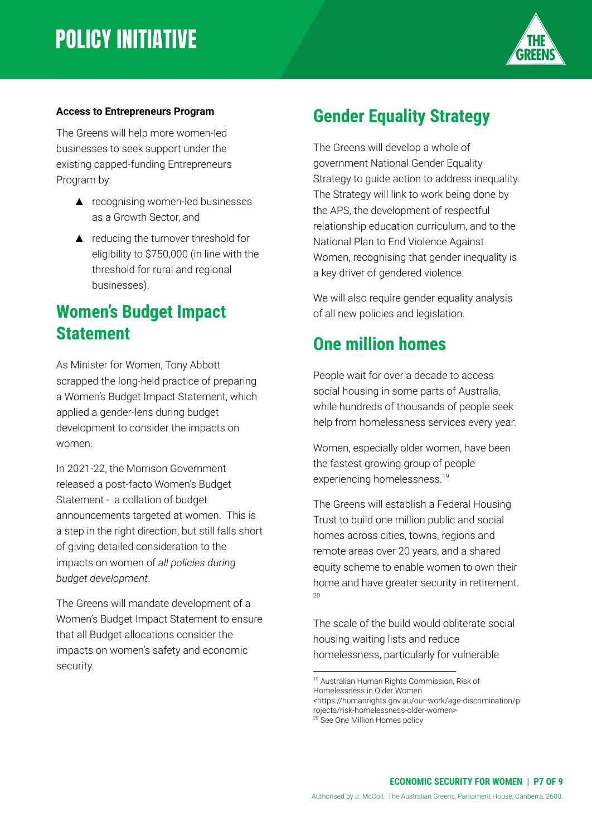

#### **Access to Entrepreneurs Program**

The Greens will help more women-led businesses to seek support under the existing capped-funding Entrepreneurs Program by:

- ▲ recognising women-led businesses as a Growth Sector, and
- ▲ reducing the turnover threshold for eligibility to \$750,000 (in line with the threshold for rural and regional businesses).

#### **Women's Budget Impact Statement**

As Minister for Women, Tony Abbott scrapped the long-held practice of preparing a Women's Budget Impact Statement, which applied a gender-lens during budget development to consider the impacts on women.

In 2021-22, the Morrison Government released a post-facto Women's Budget Statement - a collation of budget announcements targeted at women. This is a step in the right direction, but still falls short of giving detailed consideration to the impacts on women of *all policies during budget development*.

The Greens will mandate development of a Women's Budget Impact Statement to ensure that all Budget allocations consider the impacts on women's safety and economic security.

#### **Gender Equality Strategy**

The Greens will develop a whole of government National Gender Equality Strategy to guide action to address inequality. The Strategy will link to work being done by the APS, the development of respectful relationship education curriculum, and to the National Plan to End Violence Against Women, recognising that gender inequality is a key driver of gendered violence.

We will also require gender equality analysis of all new policies and legislation.

#### **One million homes**

People wait for over a decade to access social housing in some parts of Australia, while hundreds of thousands of people seek help from homelessness services every year.

Women, especially older women, have been the fastest growing group of people experiencing homelessness.<sup>19</sup>

The Greens will establish a Federal Housing Trust to build one million public and social homes across cities, towns, regions and remote areas over 20 years, and a shared equity scheme to enable women to own their home and have greater security in retirement.  $20$ 

The scale of the build would obliterate social housing waiting lists and reduce homelessness, particularly for vulnerable

<sup>19</sup> Australian Human Rights Commission, Risk of Homelessness in Older Women <https://humanrights.gov.au/our-work/age-discrimination/p rojects/risk-homelessness-older-women>

<sup>&</sup>lt;sup>20</sup> See One Million Homes policy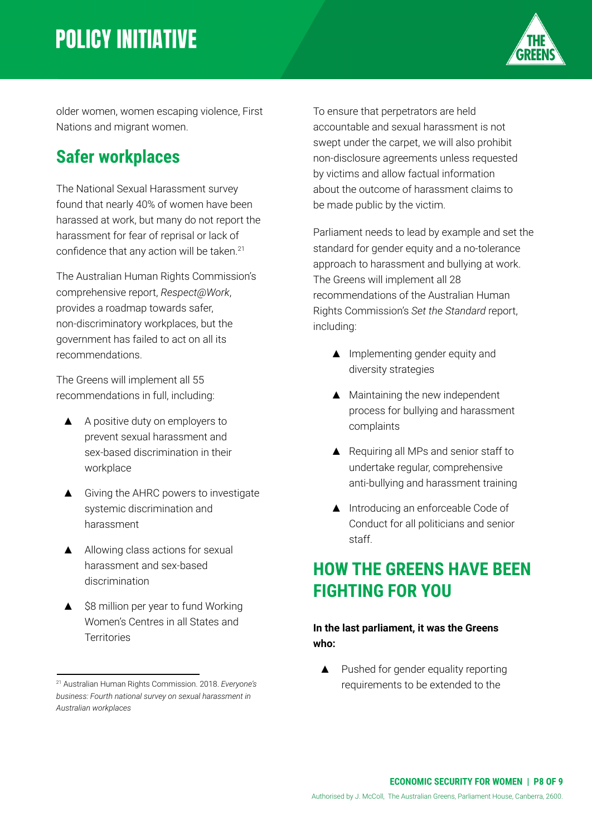

older women, women escaping violence, First Nations and migrant women.

### **Safer workplaces**

The National Sexual Harassment survey found that nearly 40% of women have been harassed at work, but many do not report the harassment for fear of reprisal or lack of confidence that any action will be taken.<sup>21</sup>

The Australian Human Rights Commission's comprehensive report, *Respect@Work*, provides a roadmap towards safer, non-discriminatory workplaces, but the government has failed to act on all its recommendations.

The Greens will implement all 55 recommendations in full, including:

- ▲ A positive duty on employers to prevent sexual harassment and sex-based discrimination in their workplace
- ▲ Giving the AHRC powers to investigate systemic discrimination and harassment
- ▲ Allowing class actions for sexual harassment and sex-based discrimination
- ▲ \$8 million per year to fund Working Women's Centres in all States and **Territories**

To ensure that perpetrators are held accountable and sexual harassment is not swept under the carpet, we will also prohibit non-disclosure agreements unless requested by victims and allow factual information about the outcome of harassment claims to be made public by the victim.

Parliament needs to lead by example and set the standard for gender equity and a no-tolerance approach to harassment and bullying at work. The Greens will implement all 28 recommendations of the Australian Human Rights Commission's *Set the Standard* report, including:

- ▲ Implementing gender equity and diversity strategies
- ▲ Maintaining the new independent process for bullying and harassment complaints
- ▲ Requiring all MPs and senior staff to undertake regular, comprehensive anti-bullying and harassment training
- ▲ Introducing an enforceable Code of Conduct for all politicians and senior staff.

#### **HOW THE GREENS HAVE BEEN FIGHTING FOR YOU**

#### **In the last parliament, it was the Greens who:**

▲ Pushed for gender equality reporting requirements to be extended to the

<sup>21</sup> Australian Human Rights Commission. 2018. *Everyone's business: Fourth national survey on sexual harassment in Australian workplaces*